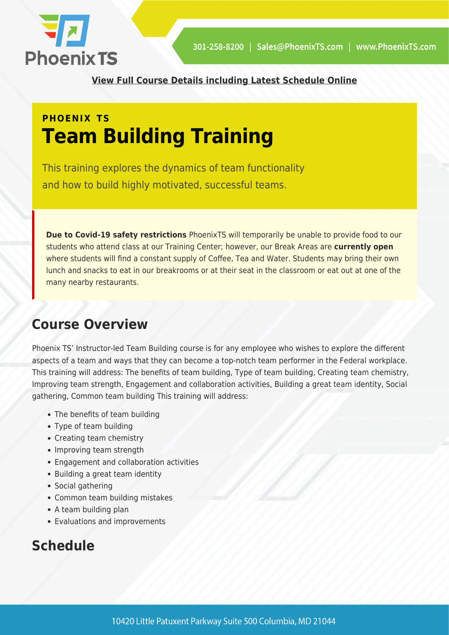

**[View Full Course Details including Latest Schedule Online](https://phoenixts.com/training-courses/team-building/)**

# **PHOENIX TS Team Building Training**

This training explores the dynamics of team functionality and how to build highly motivated, successful teams.

**Due to Covid-19 safety restrictions** PhoenixTS will temporarily be unable to provide food to our students who attend class at our Training Center; however, our Break Areas are **currently open** where students will find a constant supply of Coffee, Tea and Water. Students may bring their own lunch and snacks to eat in our breakrooms or at their seat in the classroom or eat out at one of the many nearby restaurants.

## **Course Overview**

Phoenix TS' Instructor-led Team Building course is for any employee who wishes to explore the different aspects of a team and ways that they can become a top-notch team performer in the Federal workplace. This training will address: The benefits of team building, Type of team building, Creating team chemistry, Improving team strength, Engagement and collaboration activities, Building a great team identity, Social gathering, Common team building This training will address:

- The benefits of team building
- Type of team building
- Creating team chemistry
- Improving team strength
- Engagement and collaboration activities
- Building a great team identity
- Social gathering
- Common team building mistakes
- A team building plan
- Evaluations and improvements

## **Schedule**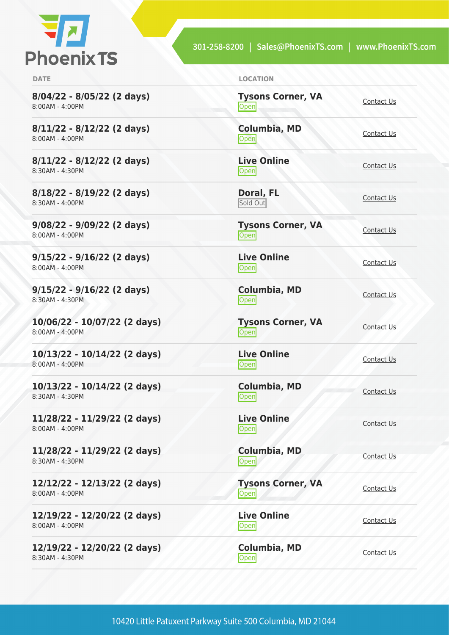

301-258-8200 | Sales@PhoenixTS.com | www.PhoenixTS.com

**8/04/22 - 8/05/22 (2 days)** 8:00AM - 4:00PM

**8/11/22 - 8/12/22 (2 days)** 8:00AM - 4:00PM

**8/11/22 - 8/12/22 (2 days)** 8:30AM - 4:30PM

**8/18/22 - 8/19/22 (2 days)** 8:30AM - 4:00PM

**9/08/22 - 9/09/22 (2 days)** 8:00AM - 4:00PM

**9/15/22 - 9/16/22 (2 days)** 8:00AM - 4:00PM

**9/15/22 - 9/16/22 (2 days)** 8:30AM - 4:30PM

**10/06/22 - 10/07/22 (2 days)** 8:00AM - 4:00PM

**10/13/22 - 10/14/22 (2 days)** 8:00AM - 4:00PM

**10/13/22 - 10/14/22 (2 days)** 8:30AM - 4:30PM

**11/28/22 - 11/29/22 (2 days)** 8:00AM - 4:00PM

**11/28/22 - 11/29/22 (2 days)** 8:30AM - 4:30PM

**12/12/22 - 12/13/22 (2 days)** 8:00AM - 4:00PM

**12/19/22 - 12/20/22 (2 days)** 8:00AM - 4:00PM

**12/19/22 - 12/20/22 (2 days)** 8:30AM - 4:30PM

**DATE LOCATION**

**Tysons Corner, VA Open** [Contact Us](https://phoenixts.com/schedule/more-info/?class=21400)

**Columbia, MD** [Contact Us](https://phoenixts.com/schedule/more-info/?class=21413)<br>Open

**Live Online** <u>[Contact Us](https://phoenixts.com/schedule/more-info/?class=21423)</u><br>
Open

**Doral, FL** Sold Out [Contact Us](https://phoenixts.com/schedule/more-info/?class=30757)

**Tysons Corner, VA Open** [Contact Us](https://phoenixts.com/schedule/more-info/?class=21401)

**Live Online**

[Contact Us](https://phoenixts.com/schedule/more-info/?class=21422)<br>Open

**Tysons Corner, VA Open** [Contact Us](https://phoenixts.com/schedule/more-info/?class=21402)

<u>[Contact Us](https://phoenixts.com/schedule/more-info/?class=21415)</u><br>
Open

**Columbia, MD** [Contact Us](https://phoenixts.com/schedule/more-info/?class=21421)<br>Open

<u>Open</u> [Contact Us](https://phoenixts.com/schedule/more-info/?class=21416)

**Columbia, MD** Open [Contact Us](https://phoenixts.com/schedule/more-info/?class=21420)

**Tysons Corner, VA Open** [Contact Us](https://phoenixts.com/schedule/more-info/?class=21404) **Live Online**

**Columbia, MD** [Contact Us](https://phoenixts.com/schedule/more-info/?class=21419)<br>Open

<u>Open</u> [Contact Us](https://phoenixts.com/schedule/more-info/?class=21414)

**Columbia, MD**

**Live Online**

**Live Online**

**[Contact Us](https://phoenixts.com/schedule/more-info/?class=21417)**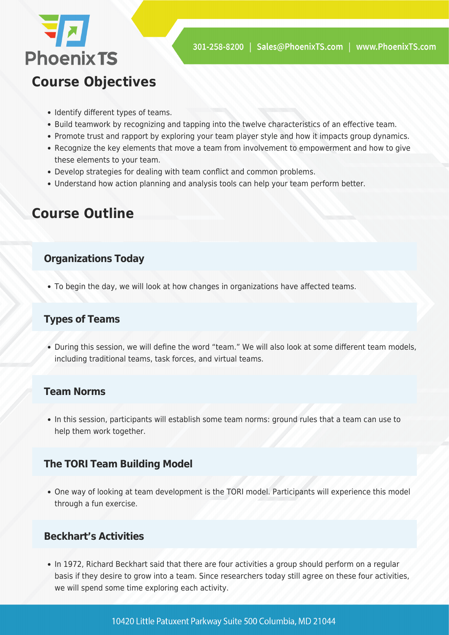

## **Course Objectives**

- Identify different types of teams.
- Build teamwork by recognizing and tapping into the twelve characteristics of an effective team.
- Promote trust and rapport by exploring your team player style and how it impacts group dynamics.
- Recognize the key elements that move a team from involvement to empowerment and how to give these elements to your team.
- Develop strategies for dealing with team conflict and common problems.
- Understand how action planning and analysis tools can help your team perform better.

## **Course Outline**

#### **Organizations Today**

To begin the day, we will look at how changes in organizations have affected teams.

#### **Types of Teams**

During this session, we will define the word "team." We will also look at some different team models, including traditional teams, task forces, and virtual teams.

#### **Team Norms**

In this session, participants will establish some team norms: ground rules that a team can use to help them work together.

### **The TORI Team Building Model**

One way of looking at team development is the TORI model. Participants will experience this model through a fun exercise.

#### **Beckhart's Activities**

• In 1972, Richard Beckhart said that there are four activities a group should perform on a regular basis if they desire to grow into a team. Since researchers today still agree on these four activities, we will spend some time exploring each activity.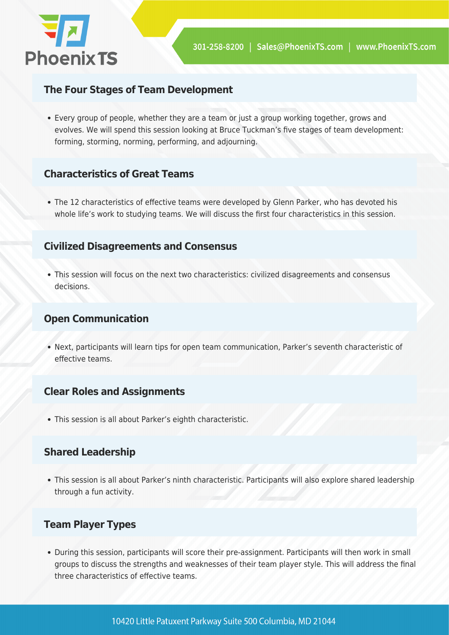

#### **The Four Stages of Team Development**

Every group of people, whether they are a team or just a group working together, grows and evolves. We will spend this session looking at Bruce Tuckman's five stages of team development: forming, storming, norming, performing, and adjourning.

#### **Characteristics of Great Teams**

The 12 characteristics of effective teams were developed by Glenn Parker, who has devoted his whole life's work to studying teams. We will discuss the first four characteristics in this session.

#### **Civilized Disagreements and Consensus**

This session will focus on the next two characteristics: civilized disagreements and consensus decisions.

#### **Open Communication**

Next, participants will learn tips for open team communication, Parker's seventh characteristic of effective teams.

#### **Clear Roles and Assignments**

This session is all about Parker's eighth characteristic.

#### **Shared Leadership**

This session is all about Parker's ninth characteristic. Participants will also explore shared leadership through a fun activity.

#### **Team Player Types**

During this session, participants will score their pre-assignment. Participants will then work in small groups to discuss the strengths and weaknesses of their team player style. This will address the final three characteristics of effective teams.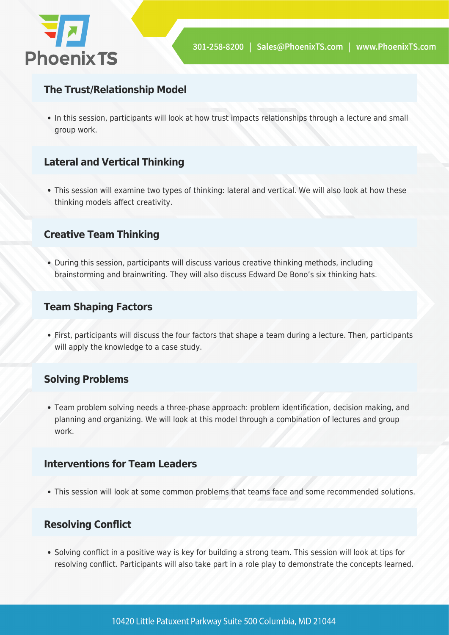

### **The Trust/Relationship Model**

• In this session, participants will look at how trust impacts relationships through a lecture and small group work.

#### **Lateral and Vertical Thinking**

This session will examine two types of thinking: lateral and vertical. We will also look at how these thinking models affect creativity.

#### **Creative Team Thinking**

During this session, participants will discuss various creative thinking methods, including brainstorming and brainwriting. They will also discuss Edward De Bono's six thinking hats.

#### **Team Shaping Factors**

First, participants will discuss the four factors that shape a team during a lecture. Then, participants will apply the knowledge to a case study.

#### **Solving Problems**

Team problem solving needs a three-phase approach: problem identification, decision making, and planning and organizing. We will look at this model through a combination of lectures and group work.

#### **Interventions for Team Leaders**

This session will look at some common problems that teams face and some recommended solutions.

### **Resolving Conflict**

Solving conflict in a positive way is key for building a strong team. This session will look at tips for resolving conflict. Participants will also take part in a role play to demonstrate the concepts learned.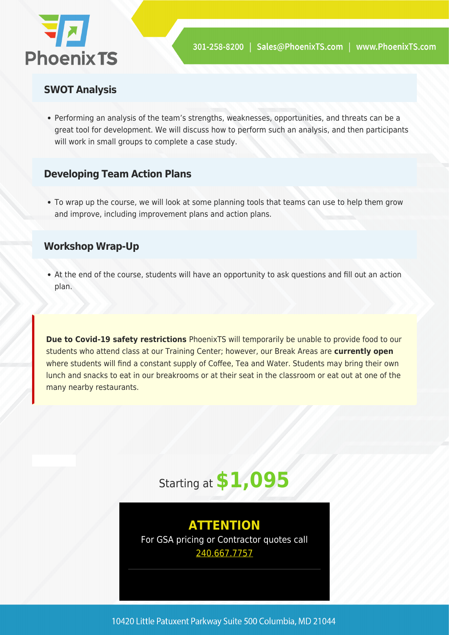

#### **SWOT Analysis**

Performing an analysis of the team's strengths, weaknesses, opportunities, and threats can be a great tool for development. We will discuss how to perform such an analysis, and then participants will work in small groups to complete a case study.

#### **Developing Team Action Plans**

To wrap up the course, we will look at some planning tools that teams can use to help them grow and improve, including improvement plans and action plans.

#### **Workshop Wrap-Up**

At the end of the course, students will have an opportunity to ask questions and fill out an action plan.

**Due to Covid-19 safety restrictions** PhoenixTS will temporarily be unable to provide food to our students who attend class at our Training Center; however, our Break Areas are **currently open** where students will find a constant supply of Coffee, Tea and Water. Students may bring their own lunch and snacks to eat in our breakrooms or at their seat in the classroom or eat out at one of the many nearby restaurants.



### **ATTENTION** For GSA pricing or Contractor quotes call [240.667.7757](#page--1-0)